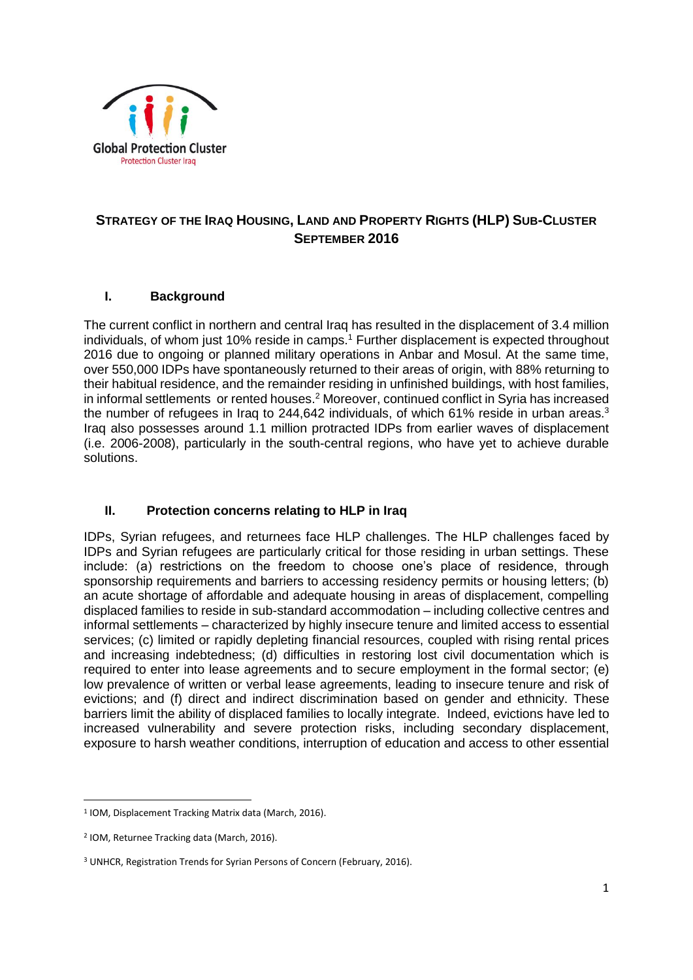

# **STRATEGY OF THE IRAQ HOUSING, LAND AND PROPERTY RIGHTS (HLP) SUB-CLUSTER SEPTEMBER 2016**

## **I. Background**

The current conflict in northern and central Iraq has resulted in the displacement of 3.4 million individuals, of whom just 10% reside in camps.<sup>1</sup> Further displacement is expected throughout 2016 due to ongoing or planned military operations in Anbar and Mosul. At the same time, over 550,000 IDPs have spontaneously returned to their areas of origin, with 88% returning to their habitual residence, and the remainder residing in unfinished buildings, with host families, in informal settlements or rented houses. <sup>2</sup> Moreover, continued conflict in Syria has increased the number of refugees in Iraq to 244,642 individuals, of which 61% reside in urban areas.<sup>3</sup> Iraq also possesses around 1.1 million protracted IDPs from earlier waves of displacement (i.e. 2006-2008), particularly in the south-central regions, who have yet to achieve durable solutions.

## **II. Protection concerns relating to HLP in Iraq**

IDPs, Syrian refugees, and returnees face HLP challenges. The HLP challenges faced by IDPs and Syrian refugees are particularly critical for those residing in urban settings. These include: (a) restrictions on the freedom to choose one's place of residence, through sponsorship requirements and barriers to accessing residency permits or housing letters; (b) an acute shortage of affordable and adequate housing in areas of displacement, compelling displaced families to reside in sub-standard accommodation – including collective centres and informal settlements – characterized by highly insecure tenure and limited access to essential services; (c) limited or rapidly depleting financial resources, coupled with rising rental prices and increasing indebtedness; (d) difficulties in restoring lost civil documentation which is required to enter into lease agreements and to secure employment in the formal sector; (e) low prevalence of written or verbal lease agreements, leading to insecure tenure and risk of evictions; and (f) direct and indirect discrimination based on gender and ethnicity. These barriers limit the ability of displaced families to locally integrate. Indeed, evictions have led to increased vulnerability and severe protection risks, including secondary displacement, exposure to harsh weather conditions, interruption of education and access to other essential

 $\overline{a}$ 

<sup>1</sup> IOM, Displacement Tracking Matrix data (March, 2016).

<sup>2</sup> IOM, Returnee Tracking data (March, 2016).

<sup>3</sup> UNHCR, Registration Trends for Syrian Persons of Concern (February, 2016).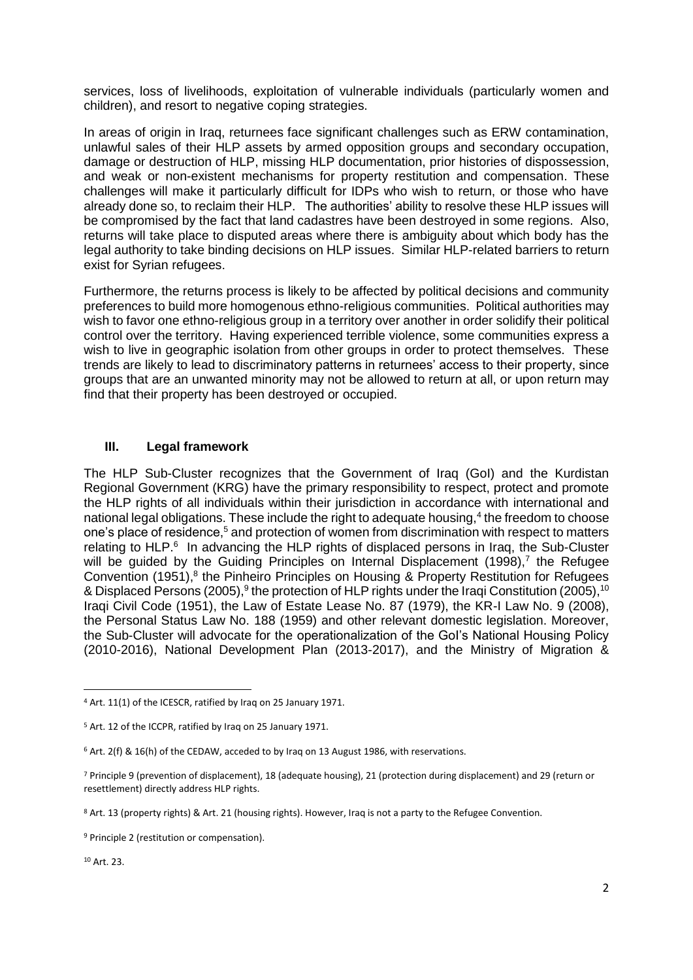services, loss of livelihoods, exploitation of vulnerable individuals (particularly women and children), and resort to negative coping strategies.

In areas of origin in Iraq, returnees face significant challenges such as ERW contamination, unlawful sales of their HLP assets by armed opposition groups and secondary occupation, damage or destruction of HLP, missing HLP documentation, prior histories of dispossession, and weak or non-existent mechanisms for property restitution and compensation. These challenges will make it particularly difficult for IDPs who wish to return, or those who have already done so, to reclaim their HLP. The authorities' ability to resolve these HLP issues will be compromised by the fact that land cadastres have been destroyed in some regions. Also, returns will take place to disputed areas where there is ambiguity about which body has the legal authority to take binding decisions on HLP issues. Similar HLP-related barriers to return exist for Syrian refugees.

Furthermore, the returns process is likely to be affected by political decisions and community preferences to build more homogenous ethno-religious communities. Political authorities may wish to favor one ethno-religious group in a territory over another in order solidify their political control over the territory. Having experienced terrible violence, some communities express a wish to live in geographic isolation from other groups in order to protect themselves. These trends are likely to lead to discriminatory patterns in returnees' access to their property, since groups that are an unwanted minority may not be allowed to return at all, or upon return may find that their property has been destroyed or occupied.

### **III. Legal framework**

The HLP Sub-Cluster recognizes that the Government of Iraq (GoI) and the Kurdistan Regional Government (KRG) have the primary responsibility to respect, protect and promote the HLP rights of all individuals within their jurisdiction in accordance with international and national legal obligations. These include the right to adequate housing,<sup>4</sup> the freedom to choose one's place of residence,<sup>5</sup> and protection of women from discrimination with respect to matters relating to HLP.<sup>6</sup> In advancing the HLP rights of displaced persons in Iraq, the Sub-Cluster will be guided by the Guiding Principles on Internal Displacement  $(1998),^7$  the Refugee Convention (1951),<sup>8</sup> the Pinheiro Principles on Housing & Property Restitution for Refugees & Displaced Persons (2005),<sup>9</sup> the protection of HLP rights under the Iraqi Constitution (2005),<sup>10</sup> Iraqi Civil Code (1951), the Law of Estate Lease No. 87 (1979), the KR-I Law No. 9 (2008), the Personal Status Law No. 188 (1959) and other relevant domestic legislation. Moreover, the Sub-Cluster will advocate for the operationalization of the GoI's National Housing Policy (2010-2016), National Development Plan (2013-2017), and the Ministry of Migration &

<sup>10</sup> Art. 23.

1

<sup>4</sup> Art. 11(1) of the ICESCR, ratified by Iraq on 25 January 1971.

<sup>5</sup> Art. 12 of the ICCPR, ratified by Iraq on 25 January 1971.

 $6$  Art. 2(f) & 16(h) of the CEDAW, acceded to by Iraq on 13 August 1986, with reservations.

<sup>7</sup> Principle 9 (prevention of displacement), 18 (adequate housing), 21 (protection during displacement) and 29 (return or resettlement) directly address HLP rights.

<sup>8</sup> Art. 13 (property rights) & Art. 21 (housing rights). However, Iraq is not a party to the Refugee Convention.

<sup>&</sup>lt;sup>9</sup> Principle 2 (restitution or compensation).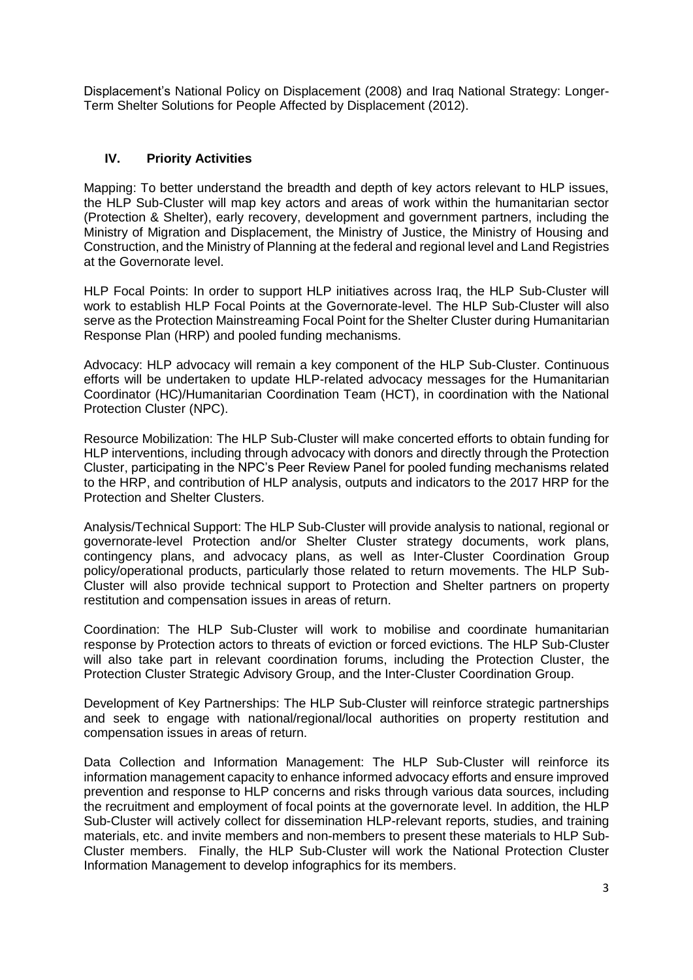Displacement's National Policy on Displacement (2008) and Iraq National Strategy: Longer-Term Shelter Solutions for People Affected by Displacement (2012).

### **IV. Priority Activities**

Mapping: To better understand the breadth and depth of key actors relevant to HLP issues, the HLP Sub-Cluster will map key actors and areas of work within the humanitarian sector (Protection & Shelter), early recovery, development and government partners, including the Ministry of Migration and Displacement, the Ministry of Justice, the Ministry of Housing and Construction, and the Ministry of Planning at the federal and regional level and Land Registries at the Governorate level.

HLP Focal Points: In order to support HLP initiatives across Iraq, the HLP Sub-Cluster will work to establish HLP Focal Points at the Governorate-level. The HLP Sub-Cluster will also serve as the Protection Mainstreaming Focal Point for the Shelter Cluster during Humanitarian Response Plan (HRP) and pooled funding mechanisms.

Advocacy: HLP advocacy will remain a key component of the HLP Sub-Cluster. Continuous efforts will be undertaken to update HLP-related advocacy messages for the Humanitarian Coordinator (HC)/Humanitarian Coordination Team (HCT), in coordination with the National Protection Cluster (NPC).

Resource Mobilization: The HLP Sub-Cluster will make concerted efforts to obtain funding for HLP interventions, including through advocacy with donors and directly through the Protection Cluster, participating in the NPC's Peer Review Panel for pooled funding mechanisms related to the HRP, and contribution of HLP analysis, outputs and indicators to the 2017 HRP for the Protection and Shelter Clusters.

Analysis/Technical Support: The HLP Sub-Cluster will provide analysis to national, regional or governorate-level Protection and/or Shelter Cluster strategy documents, work plans, contingency plans, and advocacy plans, as well as Inter-Cluster Coordination Group policy/operational products, particularly those related to return movements. The HLP Sub-Cluster will also provide technical support to Protection and Shelter partners on property restitution and compensation issues in areas of return.

Coordination: The HLP Sub-Cluster will work to mobilise and coordinate humanitarian response by Protection actors to threats of eviction or forced evictions. The HLP Sub-Cluster will also take part in relevant coordination forums, including the Protection Cluster, the Protection Cluster Strategic Advisory Group, and the Inter-Cluster Coordination Group.

Development of Key Partnerships: The HLP Sub-Cluster will reinforce strategic partnerships and seek to engage with national/regional/local authorities on property restitution and compensation issues in areas of return.

Data Collection and Information Management: The HLP Sub-Cluster will reinforce its information management capacity to enhance informed advocacy efforts and ensure improved prevention and response to HLP concerns and risks through various data sources, including the recruitment and employment of focal points at the governorate level. In addition, the HLP Sub-Cluster will actively collect for dissemination HLP-relevant reports, studies, and training materials, etc. and invite members and non-members to present these materials to HLP Sub-Cluster members. Finally, the HLP Sub-Cluster will work the National Protection Cluster Information Management to develop infographics for its members.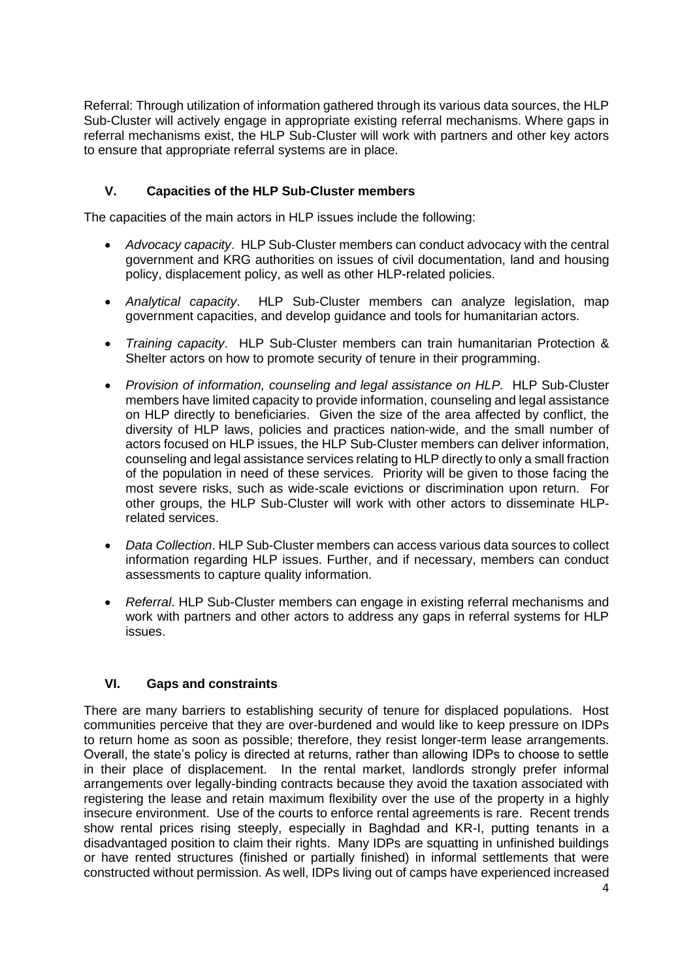Referral: Through utilization of information gathered through its various data sources, the HLP Sub-Cluster will actively engage in appropriate existing referral mechanisms. Where gaps in referral mechanisms exist, the HLP Sub-Cluster will work with partners and other key actors to ensure that appropriate referral systems are in place.

### **V. Capacities of the HLP Sub-Cluster members**

The capacities of the main actors in HLP issues include the following:

- *Advocacy capacity*. HLP Sub-Cluster members can conduct advocacy with the central government and KRG authorities on issues of civil documentation, land and housing policy, displacement policy, as well as other HLP-related policies.
- *Analytical capacity*. HLP Sub-Cluster members can analyze legislation, map government capacities, and develop guidance and tools for humanitarian actors.
- *Training capacity*. HLP Sub-Cluster members can train humanitarian Protection & Shelter actors on how to promote security of tenure in their programming.
- *Provision of information, counseling and legal assistance on HLP.* HLP Sub-Cluster members have limited capacity to provide information, counseling and legal assistance on HLP directly to beneficiaries. Given the size of the area affected by conflict, the diversity of HLP laws, policies and practices nation-wide, and the small number of actors focused on HLP issues, the HLP Sub-Cluster members can deliver information, counseling and legal assistance services relating to HLP directly to only a small fraction of the population in need of these services. Priority will be given to those facing the most severe risks, such as wide-scale evictions or discrimination upon return. For other groups, the HLP Sub-Cluster will work with other actors to disseminate HLPrelated services.
- *Data Collection*. HLP Sub-Cluster members can access various data sources to collect information regarding HLP issues. Further, and if necessary, members can conduct assessments to capture quality information.
- *Referral*. HLP Sub-Cluster members can engage in existing referral mechanisms and work with partners and other actors to address any gaps in referral systems for HLP issues.

### **VI. Gaps and constraints**

There are many barriers to establishing security of tenure for displaced populations. Host communities perceive that they are over-burdened and would like to keep pressure on IDPs to return home as soon as possible; therefore, they resist longer-term lease arrangements. Overall, the state's policy is directed at returns, rather than allowing IDPs to choose to settle in their place of displacement. In the rental market, landlords strongly prefer informal arrangements over legally-binding contracts because they avoid the taxation associated with registering the lease and retain maximum flexibility over the use of the property in a highly insecure environment. Use of the courts to enforce rental agreements is rare. Recent trends show rental prices rising steeply, especially in Baghdad and KR-I, putting tenants in a disadvantaged position to claim their rights. Many IDPs are squatting in unfinished buildings or have rented structures (finished or partially finished) in informal settlements that were constructed without permission. As well, IDPs living out of camps have experienced increased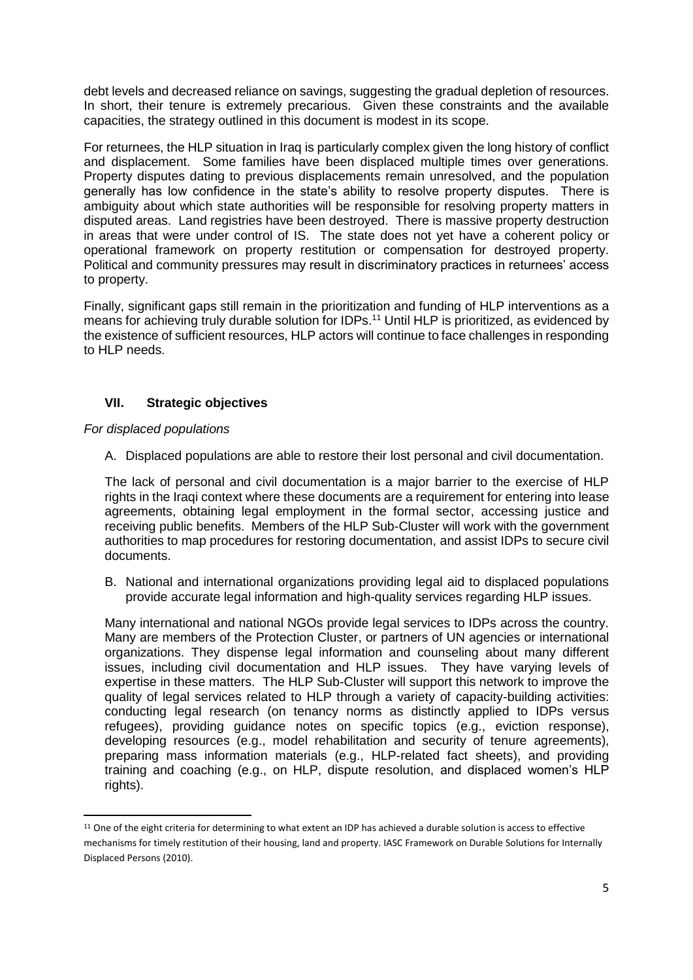debt levels and decreased reliance on savings, suggesting the gradual depletion of resources. In short, their tenure is extremely precarious. Given these constraints and the available capacities, the strategy outlined in this document is modest in its scope.

For returnees, the HLP situation in Iraq is particularly complex given the long history of conflict and displacement. Some families have been displaced multiple times over generations. Property disputes dating to previous displacements remain unresolved, and the population generally has low confidence in the state's ability to resolve property disputes. There is ambiguity about which state authorities will be responsible for resolving property matters in disputed areas. Land registries have been destroyed. There is massive property destruction in areas that were under control of IS. The state does not yet have a coherent policy or operational framework on property restitution or compensation for destroyed property. Political and community pressures may result in discriminatory practices in returnees' access to property.

Finally, significant gaps still remain in the prioritization and funding of HLP interventions as a means for achieving truly durable solution for IDPs.<sup>11</sup> Until HLP is prioritized, as evidenced by the existence of sufficient resources, HLP actors will continue to face challenges in responding to HLP needs.

### **VII. Strategic objectives**

### *For displaced populations*

 $\overline{a}$ 

A. Displaced populations are able to restore their lost personal and civil documentation.

The lack of personal and civil documentation is a major barrier to the exercise of HLP rights in the Iraqi context where these documents are a requirement for entering into lease agreements, obtaining legal employment in the formal sector, accessing justice and receiving public benefits. Members of the HLP Sub-Cluster will work with the government authorities to map procedures for restoring documentation, and assist IDPs to secure civil documents.

B. National and international organizations providing legal aid to displaced populations provide accurate legal information and high-quality services regarding HLP issues.

Many international and national NGOs provide legal services to IDPs across the country. Many are members of the Protection Cluster, or partners of UN agencies or international organizations. They dispense legal information and counseling about many different issues, including civil documentation and HLP issues. They have varying levels of expertise in these matters. The HLP Sub-Cluster will support this network to improve the quality of legal services related to HLP through a variety of capacity-building activities: conducting legal research (on tenancy norms as distinctly applied to IDPs versus refugees), providing guidance notes on specific topics (e.g., eviction response), developing resources (e.g., model rehabilitation and security of tenure agreements), preparing mass information materials (e.g., HLP-related fact sheets), and providing training and coaching (e.g., on HLP, dispute resolution, and displaced women's HLP rights).

<sup>&</sup>lt;sup>11</sup> One of the eight criteria for determining to what extent an IDP has achieved a durable solution is access to effective mechanisms for timely restitution of their housing, land and property. IASC Framework on Durable Solutions for Internally Displaced Persons (2010).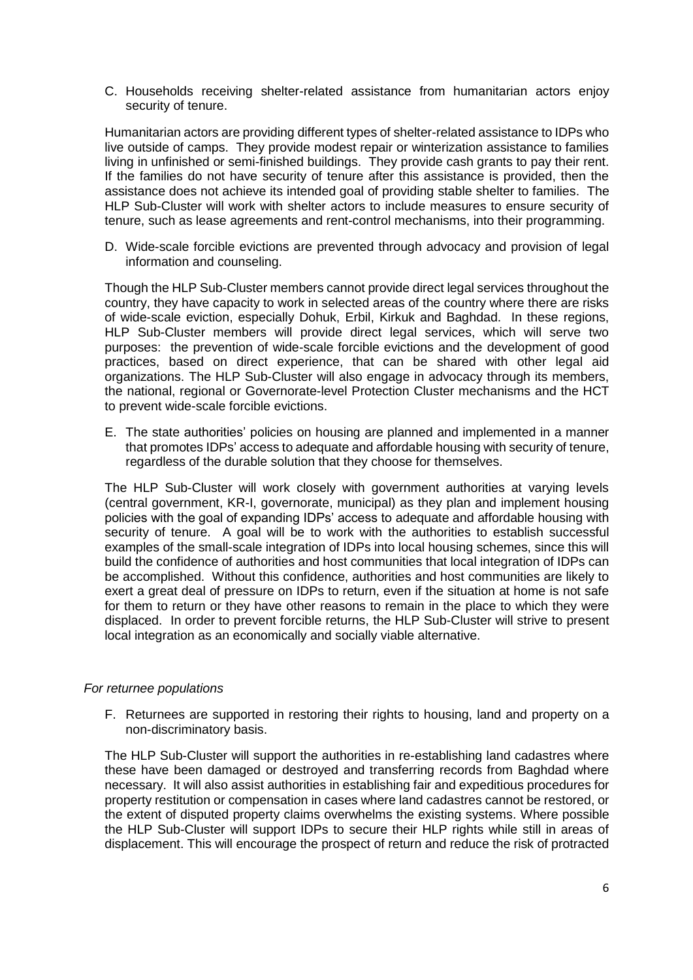C. Households receiving shelter-related assistance from humanitarian actors enjoy security of tenure.

Humanitarian actors are providing different types of shelter-related assistance to IDPs who live outside of camps. They provide modest repair or winterization assistance to families living in unfinished or semi-finished buildings. They provide cash grants to pay their rent. If the families do not have security of tenure after this assistance is provided, then the assistance does not achieve its intended goal of providing stable shelter to families. The HLP Sub-Cluster will work with shelter actors to include measures to ensure security of tenure, such as lease agreements and rent-control mechanisms, into their programming.

D. Wide-scale forcible evictions are prevented through advocacy and provision of legal information and counseling.

Though the HLP Sub-Cluster members cannot provide direct legal services throughout the country, they have capacity to work in selected areas of the country where there are risks of wide-scale eviction, especially Dohuk, Erbil, Kirkuk and Baghdad. In these regions, HLP Sub-Cluster members will provide direct legal services, which will serve two purposes: the prevention of wide-scale forcible evictions and the development of good practices, based on direct experience, that can be shared with other legal aid organizations. The HLP Sub-Cluster will also engage in advocacy through its members, the national, regional or Governorate-level Protection Cluster mechanisms and the HCT to prevent wide-scale forcible evictions.

E. The state authorities' policies on housing are planned and implemented in a manner that promotes IDPs' access to adequate and affordable housing with security of tenure, regardless of the durable solution that they choose for themselves.

The HLP Sub-Cluster will work closely with government authorities at varying levels (central government, KR-I, governorate, municipal) as they plan and implement housing policies with the goal of expanding IDPs' access to adequate and affordable housing with security of tenure. A goal will be to work with the authorities to establish successful examples of the small-scale integration of IDPs into local housing schemes, since this will build the confidence of authorities and host communities that local integration of IDPs can be accomplished. Without this confidence, authorities and host communities are likely to exert a great deal of pressure on IDPs to return, even if the situation at home is not safe for them to return or they have other reasons to remain in the place to which they were displaced. In order to prevent forcible returns, the HLP Sub-Cluster will strive to present local integration as an economically and socially viable alternative.

#### *For returnee populations*

F. Returnees are supported in restoring their rights to housing, land and property on a non-discriminatory basis.

The HLP Sub-Cluster will support the authorities in re-establishing land cadastres where these have been damaged or destroyed and transferring records from Baghdad where necessary. It will also assist authorities in establishing fair and expeditious procedures for property restitution or compensation in cases where land cadastres cannot be restored, or the extent of disputed property claims overwhelms the existing systems. Where possible the HLP Sub-Cluster will support IDPs to secure their HLP rights while still in areas of displacement. This will encourage the prospect of return and reduce the risk of protracted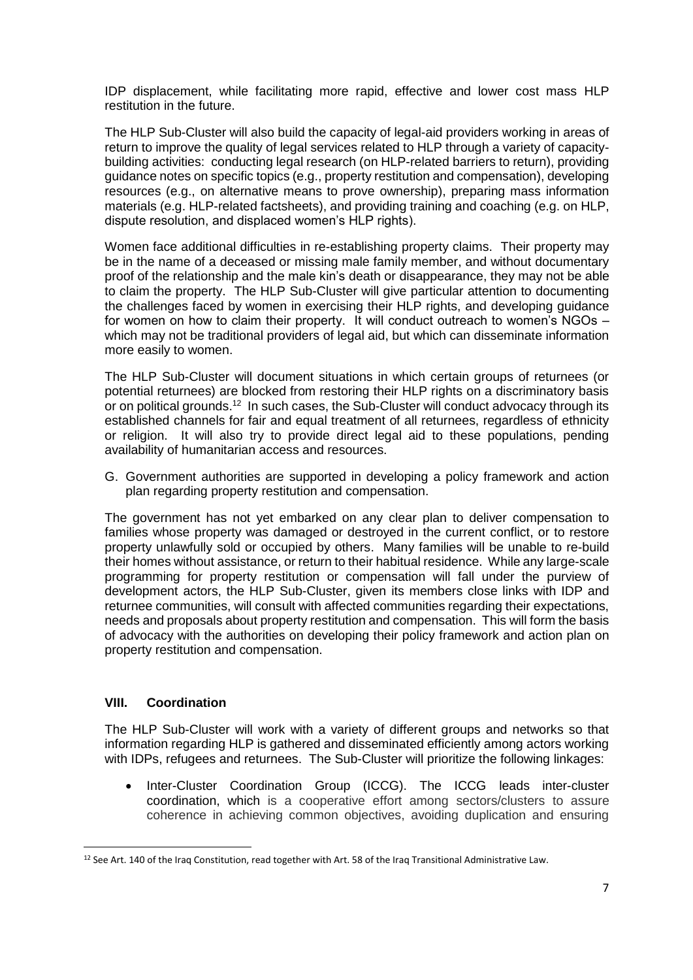IDP displacement, while facilitating more rapid, effective and lower cost mass HLP restitution in the future.

The HLP Sub-Cluster will also build the capacity of legal-aid providers working in areas of return to improve the quality of legal services related to HLP through a variety of capacitybuilding activities: conducting legal research (on HLP-related barriers to return), providing guidance notes on specific topics (e.g., property restitution and compensation), developing resources (e.g., on alternative means to prove ownership), preparing mass information materials (e.g. HLP-related factsheets), and providing training and coaching (e.g. on HLP, dispute resolution, and displaced women's HLP rights).

Women face additional difficulties in re-establishing property claims. Their property may be in the name of a deceased or missing male family member, and without documentary proof of the relationship and the male kin's death or disappearance, they may not be able to claim the property. The HLP Sub-Cluster will give particular attention to documenting the challenges faced by women in exercising their HLP rights, and developing guidance for women on how to claim their property. It will conduct outreach to women's NGOs – which may not be traditional providers of legal aid, but which can disseminate information more easily to women.

The HLP Sub-Cluster will document situations in which certain groups of returnees (or potential returnees) are blocked from restoring their HLP rights on a discriminatory basis or on political grounds.<sup>12</sup> In such cases, the Sub-Cluster will conduct advocacy through its established channels for fair and equal treatment of all returnees, regardless of ethnicity or religion. It will also try to provide direct legal aid to these populations, pending availability of humanitarian access and resources.

G. Government authorities are supported in developing a policy framework and action plan regarding property restitution and compensation.

The government has not yet embarked on any clear plan to deliver compensation to families whose property was damaged or destroyed in the current conflict, or to restore property unlawfully sold or occupied by others. Many families will be unable to re-build their homes without assistance, or return to their habitual residence. While any large-scale programming for property restitution or compensation will fall under the purview of development actors, the HLP Sub-Cluster, given its members close links with IDP and returnee communities, will consult with affected communities regarding their expectations, needs and proposals about property restitution and compensation. This will form the basis of advocacy with the authorities on developing their policy framework and action plan on property restitution and compensation.

### **VIII. Coordination**

 $\overline{a}$ 

The HLP Sub-Cluster will work with a variety of different groups and networks so that information regarding HLP is gathered and disseminated efficiently among actors working with IDPs, refugees and returnees. The Sub-Cluster will prioritize the following linkages:

 Inter-Cluster Coordination Group (ICCG). The ICCG leads inter-cluster coordination, which is a cooperative effort among sectors/clusters to assure coherence in achieving common objectives, avoiding duplication and ensuring

<sup>&</sup>lt;sup>12</sup> See Art. 140 of the Iraq Constitution, read together with Art. 58 of the Iraq Transitional Administrative Law.